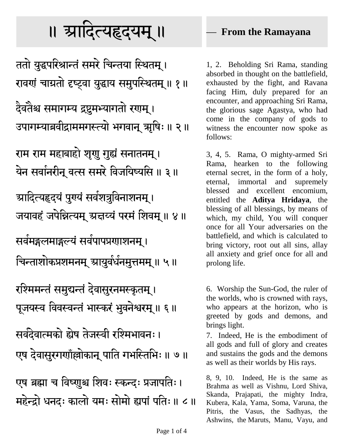## ा। त्र्यादित्यहृदयम् ॥

ततो युद्धपरिश्रान्तं समरे चिन्तया स्थितम् । रावणं चाग्रतो दृष्ट्वा युद्धाय समुपस्थितम् ॥ १ ॥

दैवतैश्च समागम्य द्रष्टुमभ्यागतो रणम् ।

उपागम्याब्रवीद्राममगस्त्यो भगवान् त्र्राषिः ॥ २ ॥

राम राम महाबाहो शुराू गुह्यं सनातनम् । येन सर्वानरीनू वत्स समरे विजयिष्यसि ॥ ३ ॥

ग्रादित्यहृदयं पुरयं सर्वशत्रुविनाशनम् । जयावहं जपेन्नित्यम् स्रत्तय्यं परमं शिवम् ॥ ४ ॥

सर्वमङ्गलमाङ्गल्यं सर्वपापप्रणाशनम् ।

चिन्ताशोकप्रशमनम् आयुर्वर्धनमुत्तमम् ॥ ५॥

रश्मिमन्तं समुद्यन्तं देवासुरनमस्कृतम् । पूजयस्व विवस्वन्तं भास्करं भुवनेश्वरम् ॥ ६ ॥

सर्वदेवात्मको ह्येष तेजस्वी रश्मिभावनः।

एष देवासुरगणाँल्लोकान् पाति गभस्तिभिः॥ ७॥

एष ब्रह्मा च विष्णुश्च शिवः स्कन्दः प्रजापतिः। महेन्द्रो धनदः कालो यमः सोमो ह्यपां पतिः॥ ८॥

## — **From the Ramayana**

1, 2. Beholding Sri Rama, standing absorbed in thought on the battlefield, exhausted by the fight, and Ravana facing Him, duly prepared for an encounter, and approaching Sri Rama, the glorious sage Agastya, who had come in the company of gods to witness the encounter now spoke as follows:

3, 4, 5. Rama, O mighty-armed Sri Rama, hearken to the following eternal secret, in the form of a holy, eternal, immortal and supremely blessed and excellent encomium, entitled the **Aditya Hridaya**, the blessing of all blessings, by means of which, my child, You will conquer once for all Your adversaries on the battlefield, and which is calculated to bring victory, root out all sins, allay all anxiety and grief once for all and prolong life.

6. Worship the Sun-God, the ruler of the worlds, who is crowned with rays, who appears at the horizon, who is greeted by gods and demons, and brings light.

7. Indeed, He is the embodiment of all gods and full of glory and creates and sustains the gods and the demons as well as their worlds by His rays.

8, 9, 10. Indeed, He is the same as Brahma as well as Vishnu, Lord Shiva, Skanda, Prajapati, the mighty Indra, Kubera, Kala, Yama, Soma, Varuna, the Pitris, the Vasus, the Sadhyas, the Ashwins, the Maruts, Manu, Vayu, and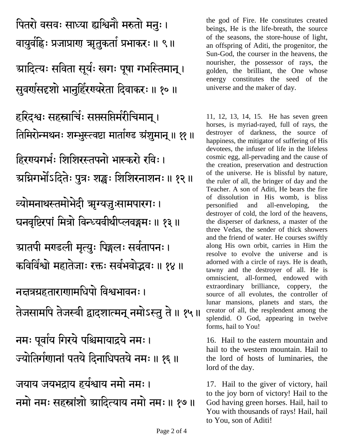पितरो वसवः साध्या ह्यश्विनौ मरुतो मनुः। वायुर्वहिः प्रजाप्राण् त्र्युतुकर्ता प्रभाकरः ॥ ९ ॥ ग्र्यादित्यः सविता सूर्यः खगः पूषा गभस्तिमान् । सूवर्णसदृशो भानुर्हिरण्यरेता दिवाकरः ॥ १० ॥ हरिदश्वः सहस्रार्चिः सप्तसप्तिर्मरीचिमान् । तिमिरोन्मथनः शम्भुस्त्वष्टा मार्ताएड ग्रंशुमान् ॥ ११ ॥ हिरगयगर्भः शिशिरस्तपनो भास्करो रविः । ग्र्याभगोँऽदितेः पुत्रः शङ्खः शिशिरनाशनः॥ १२॥ <del>व्यो</del>मनाथस्तमोभेदी ऋग्यज़ुःसामपारगः । घनवृष्टिरपां मित्रो विन्ध्यवीथीप्लवङ्गमः ॥ १३ ॥ **ग्रातपी म**र्ण्डली मृत्युः पिङ्गलः सर्वतापनः । कविर्विश्वो महातेजाः रक्तः सर्वभवोत्तवः॥ १४ ॥ नत्तत्रग्रहताराणामधिपो विश्वभावनः । तेजसामपि तेजस्वी द्वादशात्मन् नमोऽस्तु ते ॥ १५ ॥ नमः पूर्वाय गिरये पश्चिमायाद्रये नमः। ज्योतिर्गणानां पतये दिनाधिपतये नमः॥ १६॥ जयाय जयभदाय हर्यश्राय तमो तमः । नमो नमः सहस्रांशो स्रादित्याय नमो नमः॥ १७॥

the god of Fire. He constitutes created beings, He is the life-breath, the source of the seasons, the store-house of light, an offspring of Aditi, the progenitor, the Sun-God, the courser in the heavens, the nourisher, the possessor of rays, the golden, the brilliant, the One whose energy constitutes the seed of the universe and the maker of day.

11, 12, 13, 14, 15. He has seven green horses, is myriad-rayed, full of rays, the destroyer of darkness, the source of happiness, the mitigator of suffering of His devotees, the infuser of life in the lifeless cosmic egg, all-pervading and the cause of the creation, preservation and destruction of the universe. He is blissful by nature, the ruler of all, the bringer of day and the Teacher. A son of Aditi, He bears the fire of dissolution in His womb, is bliss personified and all-enveloping, the destroyer of cold, the lord of the heavens, the disperser of darkness, a master of the three Vedas, the sender of thick showers and the friend of water. He courses swiftly along His own orbit, carries in Him the resolve to evolve the universe and is adorned with a circle of rays. He is death, tawny and the destroyer of all. He is omniscient, all-formed, endowed with extraordinary brilliance, coppery, the source of all evolutes, the controller of lunar mansions, planets and stars, the creator of all, the resplendent among the splendid. O God, appearing in twelve forms, hail to You!

16. Hail to the eastern mountain and hail to the western mountain. Hail to the lord of hosts of luminaries, the lord of the day.

17. Hail to the giver of victory, hail to the joy born of victory! Hail to the God having green horses. Hail, hail to You with thousands of rays! Hail, hail to You, son of Aditi!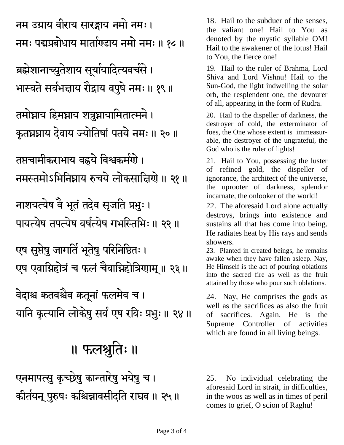एनमापत्सु कुच्छ्रेषु कान्तारेषु भयेषु च । कीर्तयन् पुरुषः कश्चिन्नावसीदति राघव ॥ २५ ॥ 25. No individual celebrating the aforesaid Lord in strait, in difficulties, in the woos as well as in times of peril comes to grief, O scion of Raghu!

24. Nay, He comprises the gods as well as the sacrifices as also the fruit of sacrifices. Again, He is the Supreme Controller of activities which are found in all living beings.

showers. 23. Planted in created beings, he remains awake when they have fallen asleep. Nay, He Himself is the act of pouring oblations into the sacred fire as well as the fruit attained by those who pour such oblations.

incarnate, the onlooker of the world! 22. The aforesaid Lord alone actually destroys, brings into existence and sustains all that has come into being. He radiates heat by His rays and sends

God who is the ruler of lights! 21. Hail to You, possessing the luster of refined gold, the dispeller of ignorance, the architect of the universe, the uprooter of darkness, splendor

Sun-God, the light indwelling the solar orb, the resplendent one, the devourer of all, appearing in the form of Rudra. 20. Hail to the dispeller of darkness, the

destroyer of cold, the exterminator of foes, the One whose extent is immeasurable, the destroyer of the ungrateful, the

Shiva and Lord Vishnu! Hail to the

Hail to the awakener of the lotus! Hail to You, the fierce one! 19. Hail to the ruler of Brahma, Lord

18. Hail to the subduer of the senses, the valiant one! Hail to You as denoted by the mystic syllable OM!

नम उग्राय वीराय सारङ्गाय नमो नमः।

ब्रह्मेशानाच्युतेशाय सूर्यायादित्यवर्चसे । भास्वते सर्वभद्ताय रौद्राय वपुषे नमः॥ १९॥

कृतघ्नघ्नाय देवाय ज्योतिषां पतये नमः॥ २०॥

तमस्तमोऽभितिघाय रुचये लोकसात्तिगो ॥ २१ ॥

पायत्येष तपत्येष वर्षत्येष गभस्तिभिः ॥ २२ ॥

एष एवाग्निहोत्रं च फलं चैवाग्निहोत्रिणाम् ॥ २३॥

यानि कृत्यानि लोकेषु सर्व एष रविः प्रभुः॥ २४॥

फलश्नुतिः ॥

तमोघ्नाय हिमघ्नाय शत्रुघ्नायामितात्मने ।

तप्तचामीकराभाय वह्नये विश्वकर्मणे ।

नाशयत्येष वे भूतं तदेव सृजति प्रभुः।

एष सुप्तेषु जागर्ति भूते<u>षु</u> परिनिष्ठितः ।

.<br>वेदाश्च कतवश्चेव कतूनां फलमेव च ।

-

नमः पद्मप्रबोधाय मार्ताएडाय नमो नमः ॥ १८ ॥